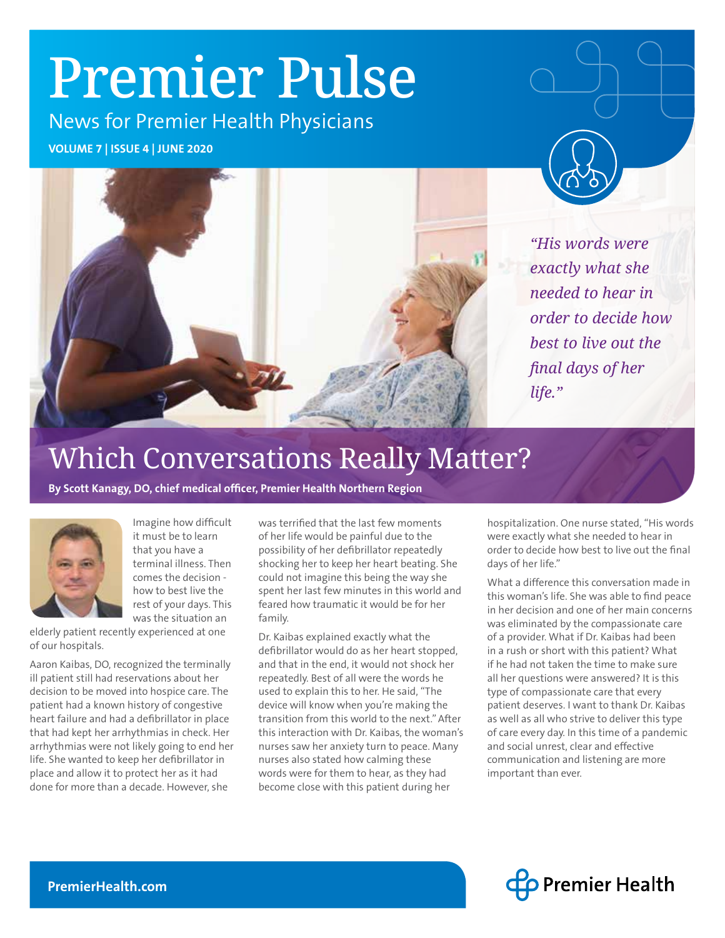# Premier Pulse

News for Premier Health Physicians

**VOLUME 7 | ISSUE 4 | JUNE 2020**



*"His words were exactly what she needed to hear in order to decide how best to live out the final days of her life."*

# Which Conversations Really Matter?

**By Scott Kanagy, DO, chief medical officer, Premier Health Northern Region**



Imagine how difficult it must be to learn that you have a terminal illness. Then comes the decision how to best live the rest of your days. This was the situation an

elderly patient recently experienced at one of our hospitals.

Aaron Kaibas, DO, recognized the terminally ill patient still had reservations about her decision to be moved into hospice care. The patient had a known history of congestive heart failure and had a defibrillator in place that had kept her arrhythmias in check. Her arrhythmias were not likely going to end her life. She wanted to keep her defibrillator in place and allow it to protect her as it had done for more than a decade. However, she

was terrified that the last few moments of her life would be painful due to the possibility of her defibrillator repeatedly shocking her to keep her heart beating. She could not imagine this being the way she spent her last few minutes in this world and feared how traumatic it would be for her family.

Dr. Kaibas explained exactly what the defibrillator would do as her heart stopped, and that in the end, it would not shock her repeatedly. Best of all were the words he used to explain this to her. He said, "The device will know when you're making the transition from this world to the next." After this interaction with Dr. Kaibas, the woman's nurses saw her anxiety turn to peace. Many nurses also stated how calming these words were for them to hear, as they had become close with this patient during her

hospitalization. One nurse stated, "His words were exactly what she needed to hear in order to decide how best to live out the final days of her life."

What a difference this conversation made in this woman's life. She was able to find peace in her decision and one of her main concerns was eliminated by the compassionate care of a provider. What if Dr. Kaibas had been in a rush or short with this patient? What if he had not taken the time to make sure all her questions were answered? It is this type of compassionate care that every patient deserves. I want to thank Dr. Kaibas as well as all who strive to deliver this type of care every day. In this time of a pandemic and social unrest, clear and effective communication and listening are more important than ever.

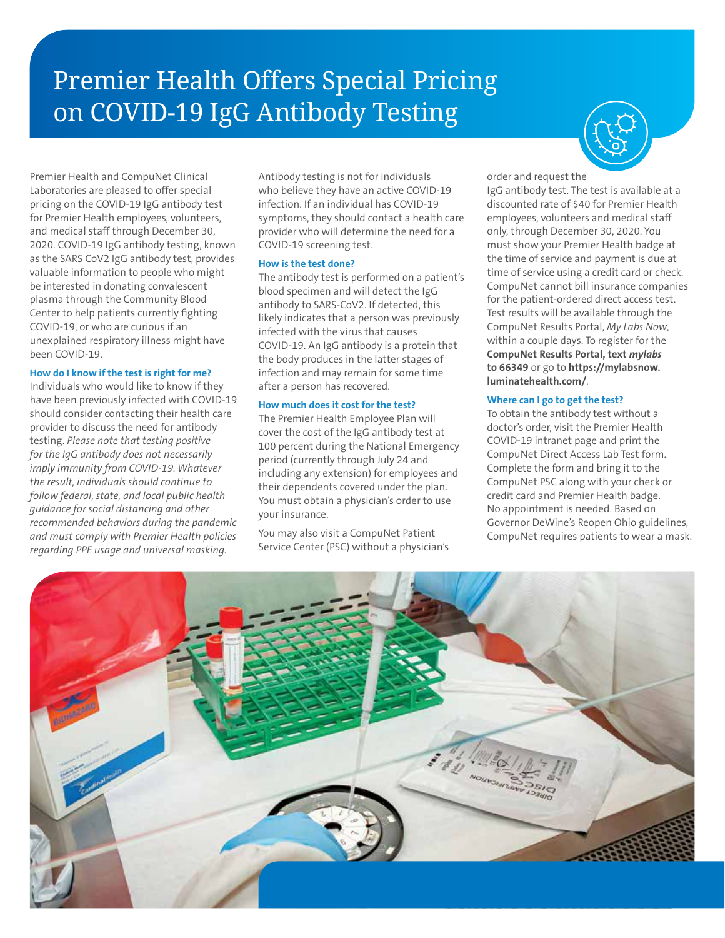# Premier Health Offers Special Pricing on COVID-19 IgG Antibody Testing



Premier Health and CompuNet Clinical Laboratories are pleased to offer special pricing on the COVID-19 IgG antibody test for Premier Health employees, volunteers, and medical staff through December 30, 2020. COVID-19 IgG antibody testing, known as the SARS CoV2 IgG antibody test, provides valuable information to people who might be interested in donating convalescent plasma through the Community Blood Center to help patients currently fighting COVID-19, or who are curious if an unexplained respiratory illness might have been COVID-19.

#### **How do I know if the test is right for me?**

Individuals who would like to know if they have been previously infected with COVID-19 should consider contacting their health care provider to discuss the need for antibody testing. *Please note that testing positive for the IgG antibody does not necessarily imply immunity from COVID-19. Whatever the result, individuals should continue to follow federal, state, and local public health guidance for social distancing and other recommended behaviors during the pandemic and must comply with Premier Health policies regarding PPE usage and universal masking.*

Antibody testing is not for individuals who believe they have an active COVID-19 infection. If an individual has COVID-19 symptoms, they should contact a health care provider who will determine the need for a COVID-19 screening test.

#### **How is the test done?**

The antibody test is performed on a patient's blood specimen and will detect the IgG antibody to SARS-CoV2. If detected, this likely indicates that a person was previously infected with the virus that causes COVID-19. An IgG antibody is a protein that the body produces in the latter stages of infection and may remain for some time after a person has recovered.

#### **How much does it cost for the test?**

The Premier Health Employee Plan will cover the cost of the IgG antibody test at 100 percent during the National Emergency period (currently through July 24 and including any extension) for employees and their dependents covered under the plan. You must obtain a physician's order to use your insurance.

You may also visit a CompuNet Patient Service Center (PSC) without a physician's order and request the

IgG antibody test. The test is available at a discounted rate of \$40 for Premier Health employees, volunteers and medical staff only, through December 30, 2020. You must show your Premier Health badge at the time of service and payment is due at time of service using a credit card or check. CompuNet cannot bill insurance companies for the patient-ordered direct access test. Test results will be available through the CompuNet Results Portal, *My Labs Now*, within a couple days. To register for the **CompuNet Results Portal, text** *mylabs* **to 66349** or go to **https://mylabsnow. luminatehealth.com/**.

#### **Where can I go to get the test?**

To obtain the antibody test without a doctor's order, visit the Premier Health COVID-19 intranet page and print the CompuNet Direct Access Lab Test form. Complete the form and bring it to the CompuNet PSC along with your check or credit card and Premier Health badge. No appointment is needed. Based on Governor DeWine's Reopen Ohio guidelines, CompuNet requires patients to wear a mask.

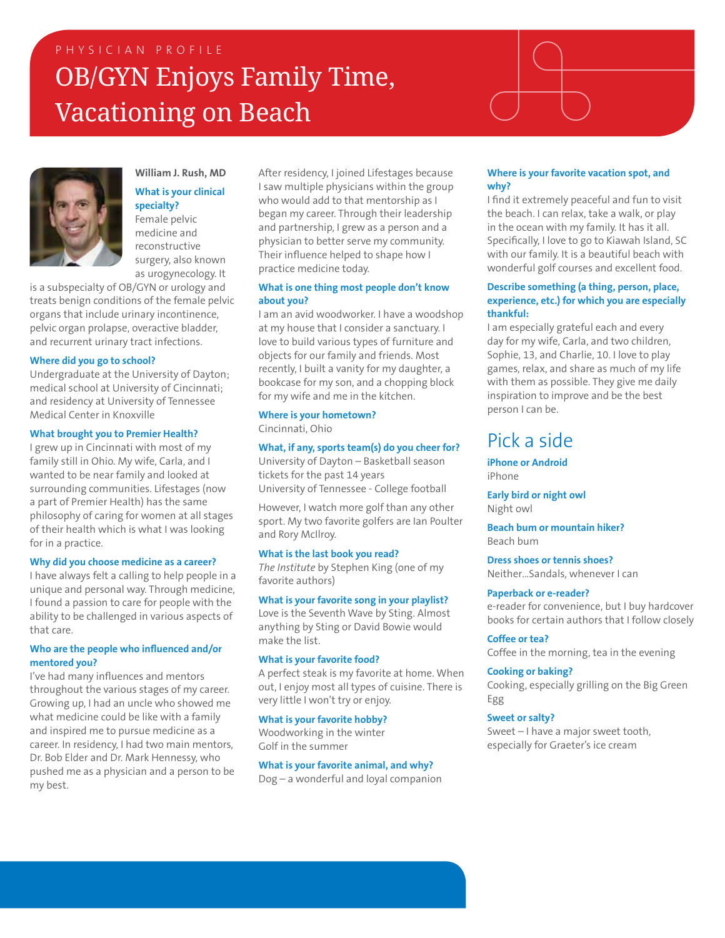### PHYSICIAN PROFILE OB/GYN Enjoys Family Time, Vacationing on Beach





#### **William J. Rush, MD What is your clinical specialty?**

Female pelvic medicine and reconstructive surgery, also known as urogynecology. It

is a subspecialty of OB/GYN or urology and treats benign conditions of the female pelvic organs that include urinary incontinence, pelvic organ prolapse, overactive bladder, and recurrent urinary tract infections.

#### **Where did you go to school?**

Undergraduate at the University of Dayton; medical school at University of Cincinnati; and residency at University of Tennessee Medical Center in Knoxville

#### **What brought you to Premier Health?**

I grew up in Cincinnati with most of my family still in Ohio. My wife, Carla, and I wanted to be near family and looked at surrounding communities. Lifestages (now a part of Premier Health) has the same philosophy of caring for women at all stages of their health which is what I was looking for in a practice.

#### **Why did you choose medicine as a career?**

I have always felt a calling to help people in a unique and personal way. Through medicine, I found a passion to care for people with the ability to be challenged in various aspects of that care.

#### **Who are the people who influenced and/or mentored you?**

I've had many influences and mentors throughout the various stages of my career. Growing up, I had an uncle who showed me what medicine could be like with a family and inspired me to pursue medicine as a career. In residency, I had two main mentors, Dr. Bob Elder and Dr. Mark Hennessy, who pushed me as a physician and a person to be my best.

After residency, I joined Lifestages because I saw multiple physicians within the group who would add to that mentorship as I began my career. Through their leadership and partnership, I grew as a person and a physician to better serve my community. Their influence helped to shape how I practice medicine today.

#### **What is one thing most people don't know about you?**

I am an avid woodworker. I have a woodshop at my house that I consider a sanctuary. I love to build various types of furniture and objects for our family and friends. Most recently, I built a vanity for my daughter, a bookcase for my son, and a chopping block for my wife and me in the kitchen.

#### **Where is your hometown?**

Cincinnati, Ohio

#### **What, if any, sports team(s) do you cheer for?**

University of Dayton – Basketball season tickets for the past 14 years University of Tennessee - College football

However, I watch more golf than any other sport. My two favorite golfers are Ian Poulter and Rory McIlroy.

#### **What is the last book you read?**

*The Institute* by Stephen King (one of my favorite authors)

#### **What is your favorite song in your playlist?**

Love is the Seventh Wave by Sting. Almost anything by Sting or David Bowie would make the list.

#### **What is your favorite food?**

A perfect steak is my favorite at home. When out, I enjoy most all types of cuisine. There is very little I won't try or enjoy.

#### **What is your favorite hobby?**

Woodworking in the winter Golf in the summer

**What is your favorite animal, and why?**  Dog – a wonderful and loyal companion

#### **Where is your favorite vacation spot, and why?**

I find it extremely peaceful and fun to visit the beach. I can relax, take a walk, or play in the ocean with my family. It has it all. Specifically, I love to go to Kiawah Island, SC with our family. It is a beautiful beach with wonderful golf courses and excellent food.

#### **Describe something (a thing, person, place, experience, etc.) for which you are especially thankful:**

I am especially grateful each and every day for my wife, Carla, and two children, Sophie, 13, and Charlie, 10. I love to play games, relax, and share as much of my life with them as possible. They give me daily inspiration to improve and be the best person I can be.

### Pick a side

**iPhone or Android** iPhone

**Early bird or night owl**  Night owl

**Beach bum or mountain hiker?**  Beach bum

**Dress shoes or tennis shoes?**  Neither…Sandals, whenever I can

#### **Paperback or e-reader?**

e-reader for convenience, but I buy hardcover books for certain authors that I follow closely

**Coffee or tea?**  Coffee in the morning, tea in the evening

#### **Cooking or baking?**

Cooking, especially grilling on the Big Green Egg

#### **Sweet or salty?**

Sweet – I have a major sweet tooth, especially for Graeter's ice cream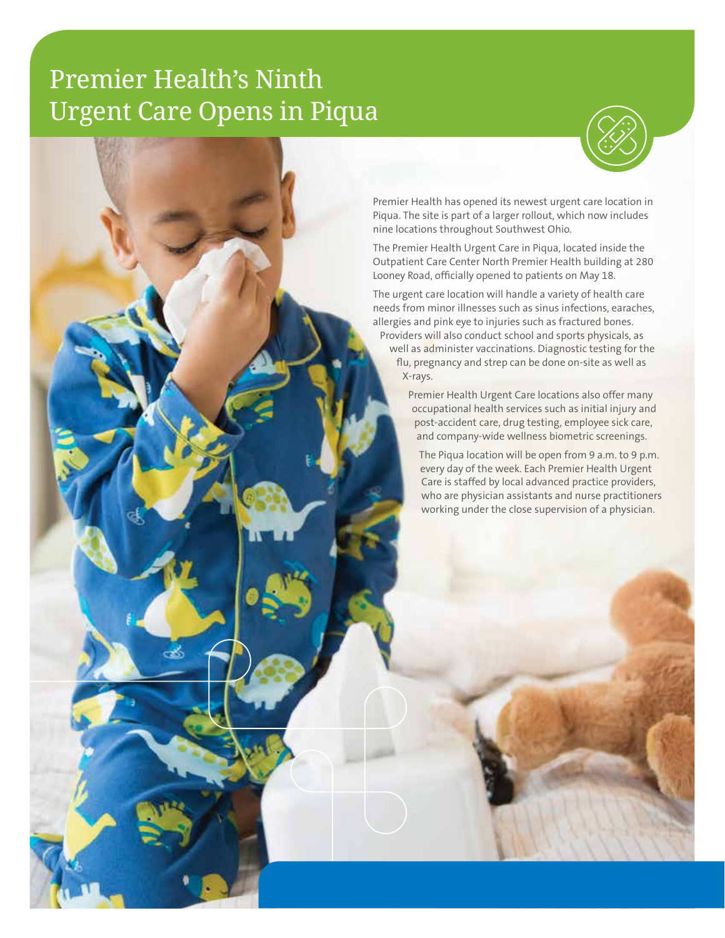### Premier Health's Ninth Urgent Care Opens in Piqua



Premier Health has opened its newest urgent care location in Piqua. The site is part of a larger rollout, which now includes nine locations throughout Southwest Ohio.

The Premier Health Urgent Care in Piqua, located inside the Outpatient Care Center North Premier Health building at 280 Looney Road, officially opened to patients on May 18.

The urgent care location will handle a variety of health care needs from minor illnesses such as sinus infections, earaches, allergies and pink eye to injuries such as fractured bones. Providers will also conduct school and sports physicals, as well as administer vaccinations. Diagnostic testing for the flu, pregnancy and strep can be done on-site as well as X-rays.

> Premier Health Urgent Care locations also offer many occupational health services such as initial injury and post-accident care, drug testing, employee sick care, and company-wide wellness biometric screenings.

The Piqua location will be open from 9 a.m. to 9 p.m. every day of the week. Each Premier Health Urgent Care is staffed by local advanced practice providers, who are physician assistants and nurse practitioners working under the close supervision of a physician.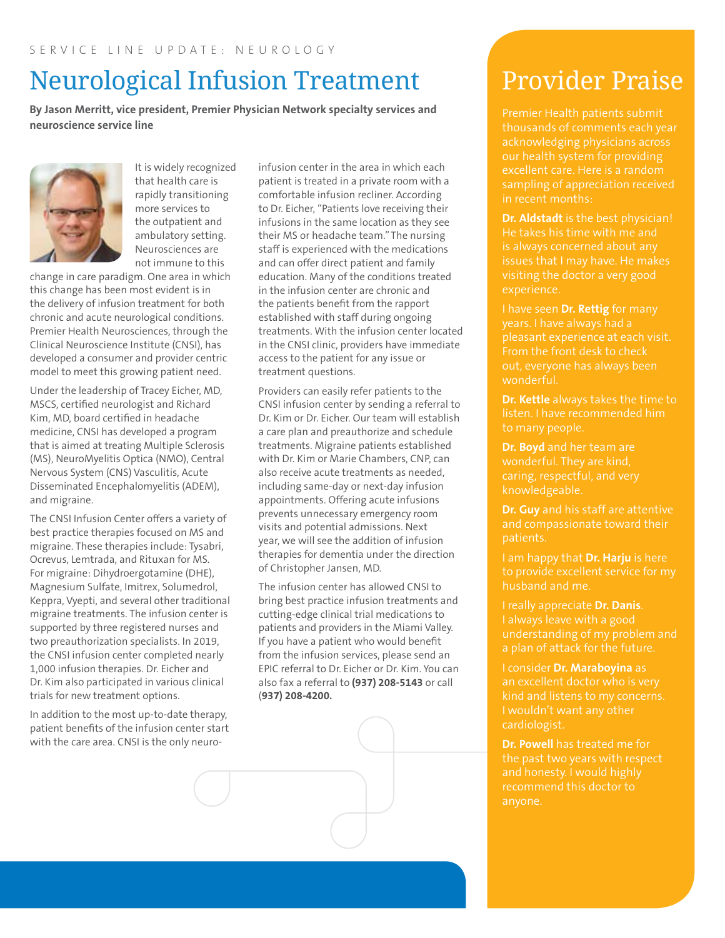# Neurological Infusion Treatment

**By Jason Merritt, vice president, Premier Physician Network specialty services and neuroscience service line**



It is widely recognized that health care is rapidly transitioning more services to the outpatient and ambulatory setting. Neurosciences are not immune to this

change in care paradigm. One area in which this change has been most evident is in the delivery of infusion treatment for both chronic and acute neurological conditions. Premier Health Neurosciences, through the Clinical Neuroscience Institute (CNSI), has developed a consumer and provider centric model to meet this growing patient need.

Under the leadership of Tracey Eicher, MD, MSCS, certified neurologist and Richard Kim, MD, board certified in headache medicine, CNSI has developed a program that is aimed at treating Multiple Sclerosis (MS), NeuroMyelitis Optica (NMO), Central Nervous System (CNS) Vasculitis, Acute Disseminated Encephalomyelitis (ADEM), and migraine.

The CNSI Infusion Center offers a variety of best practice therapies focused on MS and migraine. These therapies include: Tysabri, Ocrevus, Lemtrada, and Rituxan for MS. For migraine: Dihydroergotamine (DHE), Magnesium Sulfate, Imitrex, Solumedrol, Keppra, Vyepti, and several other traditional migraine treatments. The infusion center is supported by three registered nurses and two preauthorization specialists. In 2019, the CNSI infusion center completed nearly 1,000 infusion therapies. Dr. Eicher and Dr. Kim also participated in various clinical trials for new treatment options.

In addition to the most up-to-date therapy, patient benefits of the infusion center start with the care area. CNSI is the only neuroinfusion center in the area in which each patient is treated in a private room with a comfortable infusion recliner. According to Dr. Eicher, "Patients love receiving their infusions in the same location as they see their MS or headache team." The nursing staff is experienced with the medications and can offer direct patient and family education. Many of the conditions treated in the infusion center are chronic and the patients benefit from the rapport established with staff during ongoing treatments. With the infusion center located in the CNSI clinic, providers have immediate access to the patient for any issue or treatment questions.

Providers can easily refer patients to the CNSI infusion center by sending a referral to Dr. Kim or Dr. Eicher. Our team will establish a care plan and preauthorize and schedule treatments. Migraine patients established with Dr. Kim or Marie Chambers, CNP, can also receive acute treatments as needed, including same-day or next-day infusion appointments. Offering acute infusions prevents unnecessary emergency room visits and potential admissions. Next year, we will see the addition of infusion therapies for dementia under the direction of Christopher Jansen, MD.

The infusion center has allowed CNSI to bring best practice infusion treatments and cutting-edge clinical trial medications to patients and providers in the Miami Valley. If you have a patient who would benefit from the infusion services, please send an EPIC referral to Dr. Eicher or Dr. Kim. You can also fax a referral to **(937) 208-5143** or call (**937) 208-4200.** 

# Provider Praise

Premier Health patients submit thousands of comments each year acknowledging physicians across sampling of appreciation received in recent months:

**Dr. Aldstadt** is the best physician! He takes his time with me and is always concerned about any visiting the doctor a very good experience.

I have seen **Dr. Rettig** for many years. I have always had a pleasant experience at each visit. From the front desk to check out, everyone has always been wonderful.

**Dr. Kettle** always takes the time to listen. I have recommended him to many people.

**Dr. Boyd** and her team are caring, respectful, and very knowledgeable.

**Dr. Guy** and his staff are attentive and compassionate toward their patients.

I am happy that **Dr. Harju** is here to provide excellent service for my husband and me.

I really appreciate **Dr. Danis**. understanding of my problem and a plan of attack for the future.

I consider **Dr. Maraboyina** as an excellent doctor who is very cardiologist.

**Dr. Powell** has treated me for the past two years with respect and honesty. I would highly recommend this doctor to anyone.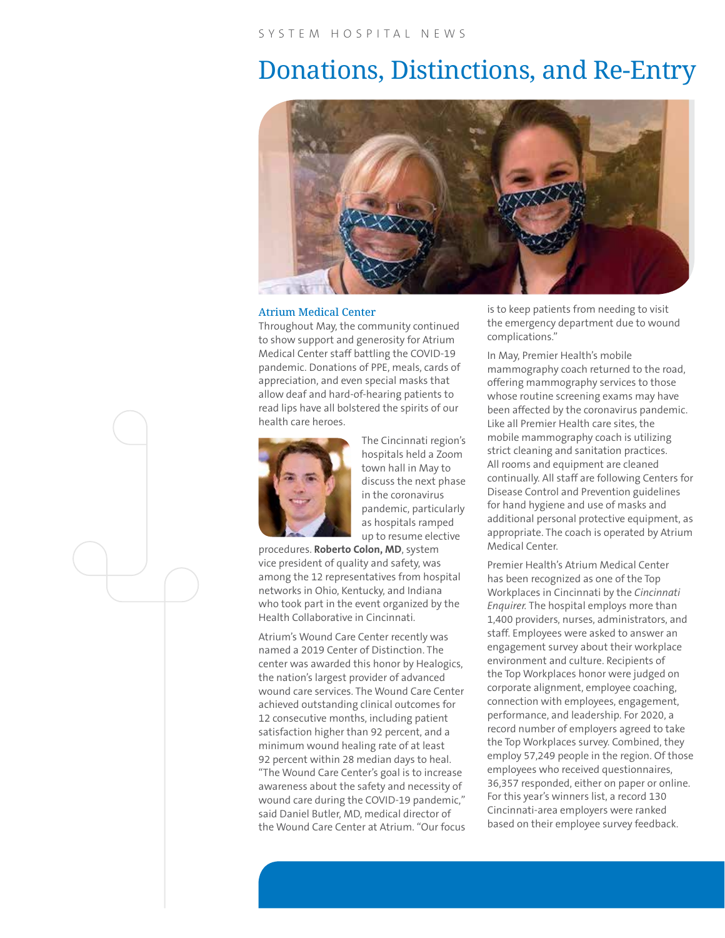### Donations, Distinctions, and Re-Entry



#### Atrium Medical Center

Throughout May, the community continued to show support and generosity for Atrium Medical Center staff battling the COVID-19 pandemic. Donations of PPE, meals, cards of appreciation, and even special masks that allow deaf and hard-of-hearing patients to read lips have all bolstered the spirits of our health care heroes.



The Cincinnati region's hospitals held a Zoom town hall in May to discuss the next phase in the coronavirus pandemic, particularly as hospitals ramped up to resume elective

procedures. **Roberto Colon, MD**, system vice president of quality and safety, was among the 12 representatives from hospital networks in Ohio, Kentucky, and Indiana who took part in the event organized by the Health Collaborative in Cincinnati.

Atrium's Wound Care Center recently was named a 2019 Center of Distinction. The center was awarded this honor by Healogics, the nation's largest provider of advanced wound care services. The Wound Care Center achieved outstanding clinical outcomes for 12 consecutive months, including patient satisfaction higher than 92 percent, and a minimum wound healing rate of at least 92 percent within 28 median days to heal. "The Wound Care Center's goal is to increase awareness about the safety and necessity of wound care during the COVID-19 pandemic," said Daniel Butler, MD, medical director of the Wound Care Center at Atrium. "Our focus is to keep patients from needing to visit the emergency department due to wound complications."

In May, Premier Health's mobile mammography coach returned to the road, offering mammography services to those whose routine screening exams may have been affected by the coronavirus pandemic. Like all Premier Health care sites, the mobile mammography coach is utilizing strict cleaning and sanitation practices. All rooms and equipment are cleaned continually. All staff are following Centers for Disease Control and Prevention guidelines for hand hygiene and use of masks and additional personal protective equipment, as appropriate. The coach is operated by Atrium Medical Center.

Premier Health's Atrium Medical Center has been recognized as one of the Top Workplaces in Cincinnati by the *Cincinnati Enquirer.* The hospital employs more than 1,400 providers, nurses, administrators, and staff. Employees were asked to answer an engagement survey about their workplace environment and culture. Recipients of the Top Workplaces honor were judged on corporate alignment, employee coaching, connection with employees, engagement, performance, and leadership. For 2020, a record number of employers agreed to take the Top Workplaces survey. Combined, they employ 57,249 people in the region. Of those employees who received questionnaires, 36,357 responded, either on paper or online. For this year's winners list, a record 130 Cincinnati-area employers were ranked based on their employee survey feedback.

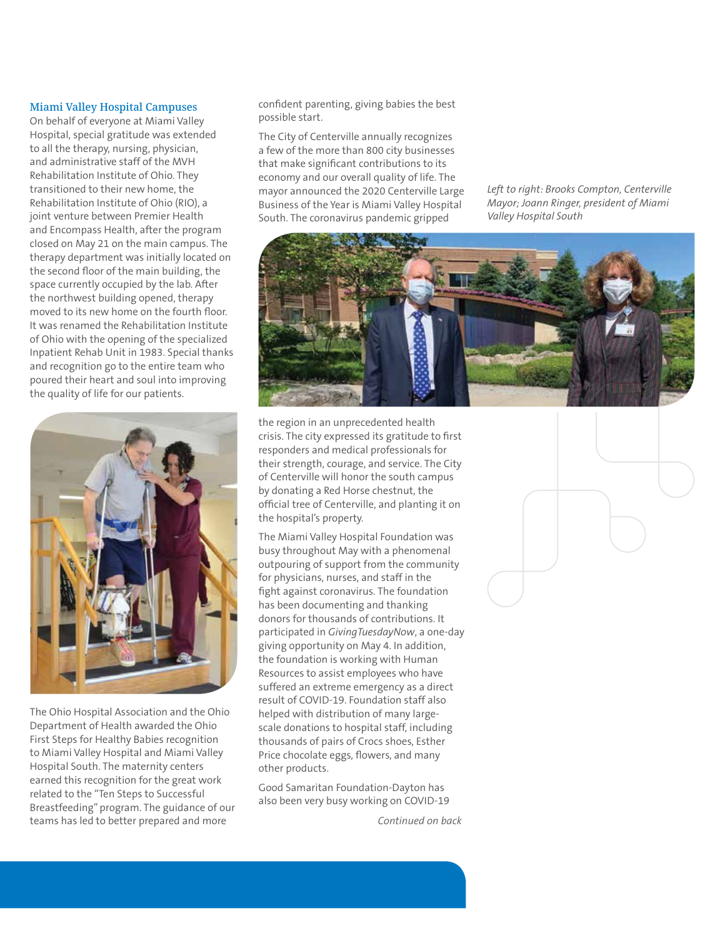#### Miami Valley Hospital Campuses

On behalf of everyone at Miami Valley Hospital, special gratitude was extended to all the therapy, nursing, physician, and administrative staff of the MVH Rehabilitation Institute of Ohio. They transitioned to their new home, the Rehabilitation Institute of Ohio (RIO), a joint venture between Premier Health and Encompass Health, after the program closed on May 21 on the main campus. The therapy department was initially located on the second floor of the main building, the space currently occupied by the lab. After the northwest building opened, therapy moved to its new home on the fourth floor. It was renamed the Rehabilitation Institute of Ohio with the opening of the specialized Inpatient Rehab Unit in 1983. Special thanks and recognition go to the entire team who poured their heart and soul into improving the quality of life for our patients.



The Ohio Hospital Association and the Ohio Department of Health awarded the Ohio First Steps for Healthy Babies recognition to Miami Valley Hospital and Miami Valley Hospital South. The maternity centers earned this recognition for the great work related to the "Ten Steps to Successful Breastfeeding" program. The guidance of our teams has led to better prepared and more

confident parenting, giving babies the best possible start.

The City of Centerville annually recognizes a few of the more than 800 city businesses that make significant contributions to its economy and our overall quality of life. The mayor announced the 2020 Centerville Large Business of the Year is Miami Valley Hospital South. The coronavirus pandemic gripped

*Left to right: Brooks Compton, Centerville Mayor; Joann Ringer, president of Miami Valley Hospital South*



the region in an unprecedented health crisis. The city expressed its gratitude to first responders and medical professionals for their strength, courage, and service. The City of Centerville will honor the south campus by donating a Red Horse chestnut, the official tree of Centerville, and planting it on the hospital's property.

The Miami Valley Hospital Foundation was busy throughout May with a phenomenal outpouring of support from the community for physicians, nurses, and staff in the fight against coronavirus. The foundation has been documenting and thanking donors for thousands of contributions. It participated in *GivingTuesdayNow*, a one-day giving opportunity on May 4. In addition, the foundation is working with Human Resources to assist employees who have suffered an extreme emergency as a direct result of COVID-19. Foundation staff also helped with distribution of many largescale donations to hospital staff, including thousands of pairs of Crocs shoes, Esther Price chocolate eggs, flowers, and many other products.

Good Samaritan Foundation-Dayton has also been very busy working on COVID-19

*Continued on back*